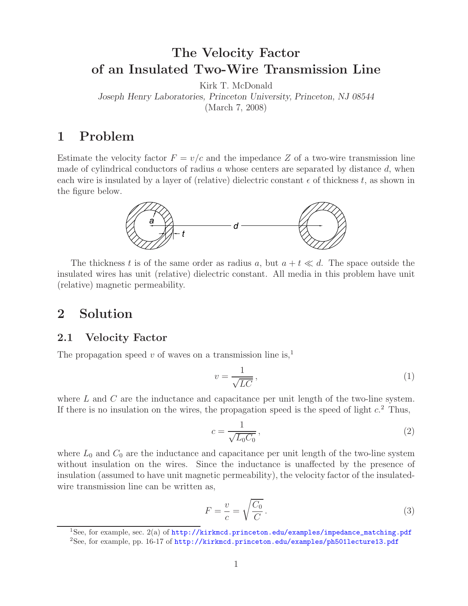# **The Velocity Factor of an Insulated Two-Wire Transmission Line**

Kirk T. McDonald

*Joseph Henry Laboratories, Princeton University, Princeton, NJ 08544*

(March 7, 2008)

## **1 Problem**

Estimate the velocity factor  $F = v/c$  and the impedance Z of a two-wire transmission line made of cylindrical conductors of radius  $a$  whose centers are separated by distance  $d$ , when each wire is insulated by a layer of (relative) dielectric constant  $\epsilon$  of thickness t, as shown in the figure below.



The thickness t is of the same order as radius a, but  $a + t \ll d$ . The space outside the insulated wires has unit (relative) dielectric constant. All media in this problem have unit (relative) magnetic permeability.

### **2 Solution**

#### **2.1 Velocity Factor**

The propagation speed v of waves on a transmission line is,<sup>1</sup>

$$
v = \frac{1}{\sqrt{LC}},\tag{1}
$$

where L and C are the inductance and capacitance per unit length of the two-line system. If there is no insulation on the wires, the propagation speed is the speed of light  $c$ <sup>2</sup>. Thus,

$$
c = \frac{1}{\sqrt{L_0 C_0}},\tag{2}
$$

where  $L_0$  and  $C_0$  are the inductance and capacitance per unit length of the two-line system without insulation on the wires. Since the inductance is unaffected by the presence of insulation (assumed to have unit magnetic permeability), the velocity factor of the insulatedwire transmission line can be written as,

$$
F = \frac{v}{c} = \sqrt{\frac{C_0}{C}}.
$$
\n(3)

<sup>&</sup>lt;sup>1</sup>See, for example, sec. 2(a) of  $http://kirkmcd.princeton.edu/examples/impedance_matrix.pdf$ 

<sup>2</sup>See, for example, pp. 16-17 of http://kirkmcd.princeton.edu/examples/ph501lecture13.pdf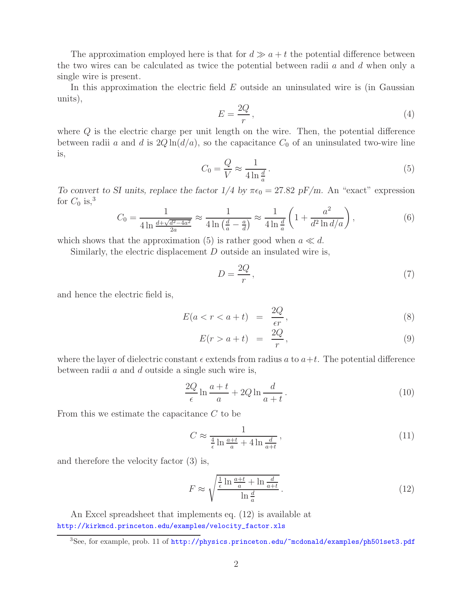The approximation employed here is that for  $d \gg a + t$  the potential difference between the two wires can be calculated as twice the potential between radii  $a$  and  $d$  when only a single wire is present.

In this approximation the electric field  $E$  outside an uninsulated wire is (in Gaussian units),

$$
E = \frac{2Q}{r},\tag{4}
$$

where Q is the electric charge per unit length on the wire. Then, the potential difference between radii a and d is  $2Q \ln(d/a)$ , so the capacitance  $C_0$  of an uninsulated two-wire line is,

$$
C_0 = \frac{Q}{V} \approx \frac{1}{4 \ln \frac{d}{a}}.
$$
\n<sup>(5)</sup>

*To convert to SI units, replace the factor*  $1/4$  *by*  $\pi\epsilon_0 = 27.82 \text{ pF/m}$ . An "exact" expression for  $C_0$  is,<sup>3</sup>

$$
C_0 = \frac{1}{4\ln\frac{d + \sqrt{d^2 - 4a^2}}{2a}} \approx \frac{1}{4\ln\left(\frac{d}{a} - \frac{a}{d}\right)} \approx \frac{1}{4\ln\frac{d}{a}} \left(1 + \frac{a^2}{d^2\ln d/a}\right),\tag{6}
$$

which shows that the approximation (5) is rather good when  $a \ll d$ .

Similarly, the electric displacement  $D$  outside an insulated wire is,

$$
D = \frac{2Q}{r},\tag{7}
$$

and hence the electric field is,

$$
E(a < r < a + t) = \frac{2Q}{\epsilon r}, \tag{8}
$$

$$
E(r > a + t) = \frac{2Q}{r}, \qquad (9)
$$

where the layer of dielectric constant  $\epsilon$  extends from radius a to  $a+t$ . The potential difference between radii  $a$  and  $d$  outside a single such wire is,

$$
\frac{2Q}{\epsilon} \ln \frac{a+t}{a} + 2Q \ln \frac{d}{a+t} \,. \tag{10}
$$

From this we estimate the capacitance C to be

$$
C \approx \frac{1}{\frac{4}{\epsilon} \ln \frac{a+t}{a} + 4 \ln \frac{d}{a+t}}\,,\tag{11}
$$

and therefore the velocity factor (3) is,

$$
F \approx \sqrt{\frac{\frac{1}{\epsilon} \ln \frac{a+t}{a} + \ln \frac{d}{a+t}}{\ln \frac{d}{a}}}.
$$
\n(12)

An Excel spreadsheet that implements eq. (12) is available at http://kirkmcd.princeton.edu/examples/velocity\_factor.xls

<sup>&</sup>lt;sup>3</sup>See, for example, prob. 11 of http://physics.princeton.edu/~mcdonald/examples/ph501set3.pdf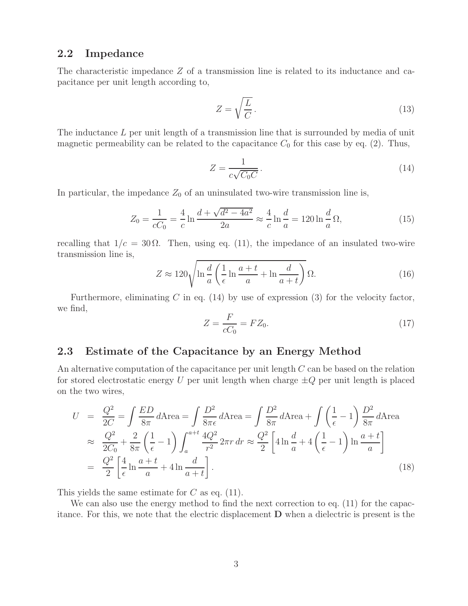#### **2.2 Impedance**

The characteristic impedance Z of a transmission line is related to its inductance and capacitance per unit length according to,

$$
Z = \sqrt{\frac{L}{C}}.\t(13)
$$

The inductance L per unit length of a transmission line that is surrounded by media of unit magnetic permeability can be related to the capacitance  $C_0$  for this case by eq. (2). Thus,

$$
Z = \frac{1}{c\sqrt{C_0C}}.\tag{14}
$$

In particular, the impedance  $Z_0$  of an uninsulated two-wire transmission line is,

$$
Z_0 = \frac{1}{cC_0} = \frac{4}{c} \ln \frac{d + \sqrt{d^2 - 4a^2}}{2a} \approx \frac{4}{c} \ln \frac{d}{a} = 120 \ln \frac{d}{a} \Omega,
$$
 (15)

recalling that  $1/c = 30 \Omega$ . Then, using eq. (11), the impedance of an insulated two-wire transmission line is,

$$
Z \approx 120 \sqrt{\ln \frac{d}{a} \left( \frac{1}{\epsilon} \ln \frac{a+t}{a} + \ln \frac{d}{a+t} \right)} \Omega.
$$
 (16)

Furthermore, eliminating C in eq.  $(14)$  by use of expression  $(3)$  for the velocity factor, we find,

$$
Z = \frac{F}{cC_0} = FZ_0. \tag{17}
$$

#### **2.3 Estimate of the Capacitance by an Energy Method**

An alternative computation of the capacitance per unit length C can be based on the relation for stored electrostatic energy U per unit length when charge  $\pm Q$  per unit length is placed on the two wires,

$$
U = \frac{Q^2}{2C} = \int \frac{ED}{8\pi} d\text{Area} = \int \frac{D^2}{8\pi \epsilon} d\text{Area} = \int \frac{D^2}{8\pi} d\text{Area} + \int \left(\frac{1}{\epsilon} - 1\right) \frac{D^2}{8\pi} d\text{Area}
$$
  
\n
$$
\approx \frac{Q^2}{2C_0} + \frac{2}{8\pi} \left(\frac{1}{\epsilon} - 1\right) \int_a^{a+t} \frac{4Q^2}{r^2} 2\pi r \, dr \approx \frac{Q^2}{2} \left[4 \ln \frac{d}{a} + 4\left(\frac{1}{\epsilon} - 1\right) \ln \frac{a+t}{a}\right]
$$
  
\n
$$
= \frac{Q^2}{2} \left[\frac{4}{\epsilon} \ln \frac{a+t}{a} + 4 \ln \frac{d}{a+t}\right].
$$
\n(18)

This yields the same estimate for  $C$  as eq. (11).

We can also use the energy method to find the next correction to eq. (11) for the capacitance. For this, we note that the electric displacement **D** when a dielectric is present is the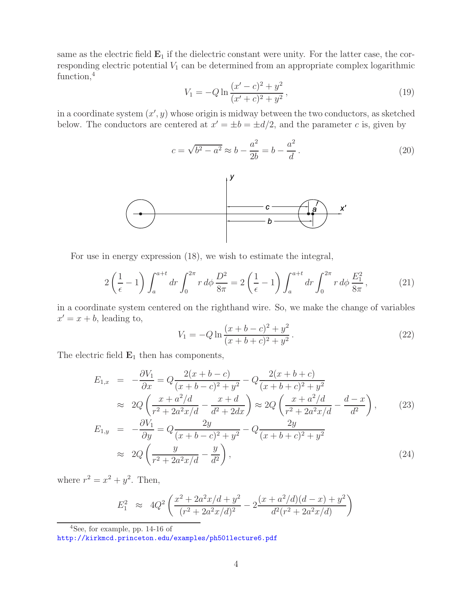same as the electric field  $\mathbf{E}_1$  if the dielectric constant were unity. For the latter case, the corresponding electric potential  $V_1$  can be determined from an appropriate complex logarithmic function,<sup>4</sup>

$$
V_1 = -Q \ln \frac{(x'-c)^2 + y^2}{(x'+c)^2 + y^2},\tag{19}
$$

in a coordinate system  $(x', y)$  whose origin is midway between the two conductors, as sketched below. The conductors are centered at  $x' = \pm b = \pm d/2$ , and the parameter c is, given by

$$
c = \sqrt{b^2 - a^2} \approx b - \frac{a^2}{2b} = b - \frac{a^2}{d}.
$$
 (20)



For use in energy expression (18), we wish to estimate the integral,

$$
2\left(\frac{1}{\epsilon} - 1\right) \int_{a}^{a+t} dr \int_{0}^{2\pi} r \, d\phi \, \frac{D^2}{8\pi} = 2\left(\frac{1}{\epsilon} - 1\right) \int_{a}^{a+t} dr \int_{0}^{2\pi} r \, d\phi \, \frac{E_1^2}{8\pi},\tag{21}
$$

in a coordinate system centered on the righthand wire. So, we make the change of variables  $x' = x + b$ , leading to,

$$
V_1 = -Q \ln \frac{(x+b-c)^2 + y^2}{(x+b+c)^2 + y^2}.
$$
\n(22)

The electric field  $\mathbf{E}_1$  then has components,

$$
E_{1,x} = -\frac{\partial V_1}{\partial x} = Q \frac{2(x+b-c)}{(x+b-c)^2 + y^2} - Q \frac{2(x+b+c)}{(x+b+c)^2 + y^2}
$$
  
\n
$$
\approx 2Q \left( \frac{x+a^2/d}{r^2 + 2a^2x/d} - \frac{x+d}{d^2 + 2dx} \right) \approx 2Q \left( \frac{x+a^2/d}{r^2 + 2a^2x/d} - \frac{d-x}{d^2} \right), \qquad (23)
$$

$$
E_{1,y} = -\frac{\partial V_1}{\partial y} = Q \frac{2y}{(x+b-c)^2 + y^2} - Q \frac{2y}{(x+b+c)^2 + y^2} \approx 2Q \left( \frac{y}{r^2 + 2a^2x/d} - \frac{y}{d^2} \right),
$$
\n(24)

where  $r^2 = x^2 + y^2$ . Then,

$$
E_1^2 \approx 4Q^2 \left( \frac{x^2 + 2a^2x/d + y^2}{(r^2 + 2a^2x/d)^2} - 2 \frac{(x + a^2/d)(d - x) + y^2}{d^2(r^2 + 2a^2x/d)} \right)
$$

 $4$ See, for example, pp. 14-16 of

http://kirkmcd.princeton.edu/examples/ph501lecture6.pdf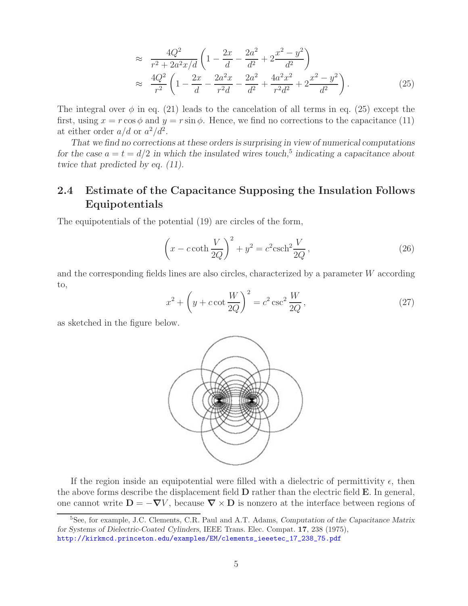$$
\approx \frac{4Q^2}{r^2 + 2a^2x/d} \left( 1 - \frac{2x}{d} - \frac{2a^2}{d^2} + 2\frac{x^2 - y^2}{d^2} \right)
$$
  
\n
$$
\approx \frac{4Q^2}{r^2} \left( 1 - \frac{2x}{d} - \frac{2a^2x}{r^2d} - \frac{2a^2}{d^2} + \frac{4a^2x^2}{r^2d^2} + 2\frac{x^2 - y^2}{d^2} \right).
$$
 (25)

The integral over  $\phi$  in eq. (21) leads to the cancelation of all terms in eq. (25) except the first, using  $x = r \cos \phi$  and  $y = r \sin \phi$ . Hence, we find no corrections to the capacitance (11) at either order  $a/d$  or  $a^2/d^2$ .

*That we find no corrections at these orders is surprising in view of numerical computations for the case*  $a = t = d/2$  *in which the insulated wires touch*,<sup>5</sup> *indicating a capacitance about twice that predicted by eq. (11).*

### **2.4 Estimate of the Capacitance Supposing the Insulation Follows Equipotentials**

The equipotentials of the potential (19) are circles of the form,

$$
\left(x - c \coth \frac{V}{2Q}\right)^2 + y^2 = c^2 \operatorname{csch}^2 \frac{V}{2Q},\tag{26}
$$

and the corresponding fields lines are also circles, characterized by a parameter W according to,

$$
x^{2} + \left(y + c \cot \frac{W}{2Q}\right)^{2} = c^{2} \csc^{2} \frac{W}{2Q},
$$
\n(27)

as sketched in the figure below.



If the region inside an equipotential were filled with a dielectric of permittivity  $\epsilon$ , then the above forms describe the displacement field **D** rather than the electric field **E**. In general, one cannot write  $D = -\nabla V$ , because  $\nabla \times D$  is nonzero at the interface between regions of

<sup>5</sup>See, for example, J.C. Clements, C.R. Paul and A.T. Adams, *Computation of the Capacitance Matrix for Systems of Dielectric-Coated Cylinders*, IEEE Trans. Elec. Compat. **17**, 238 (1975), http://kirkmcd.princeton.edu/examples/EM/clements\_ieeetec\_17\_238\_75.pdf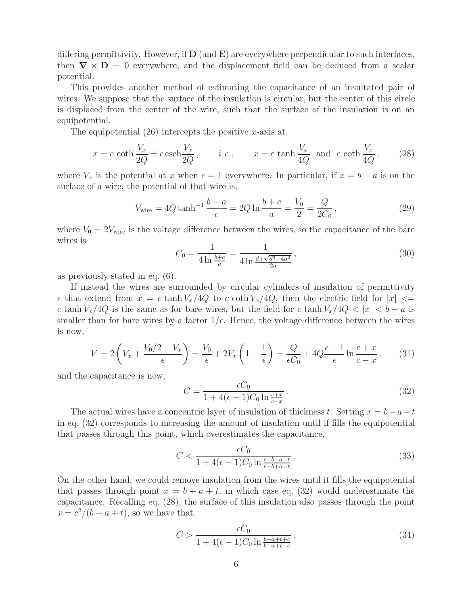differing permittivity. However, if **D** (and **E**) are everywhere perpendicular to such interfaces, then  $\nabla \times \mathbf{D} = 0$  everywhere, and the displacement field can be deduced from a scalar potential.

This provides another method of estimating the capacitance of an insultated pair of wires. We suppose that the surface of the insulation is circular, but the center of this circle is displaced from the center of the wire, such that the surface of the insulation is on an equipotential.

The equipotential  $(26)$  intercepts the positive x-axis at,

$$
x = c \coth \frac{V_x}{2Q} \pm c \operatorname{csch} \frac{V_x}{2Q}, \qquad i.e., \qquad x = c \tanh \frac{V_x}{4Q} \text{ and } c \coth \frac{V_x}{4Q}, \qquad (28)
$$

where  $V_x$  is the potential at x when  $\epsilon = 1$  everywhere. In particular, if  $x = b - a$  is on the surface of a wire, the potential of that wire is,

$$
V_{\text{wire}} = 4Q \tanh^{-1} \frac{b-a}{c} = 2Q \ln \frac{b+c}{a} = \frac{V_0}{2} = \frac{Q}{2C_0},\tag{29}
$$

where  $V_0 = 2V_{\text{wire}}$  is the voltage difference between the wires, so the capacitance of the bare wires is

$$
C_0 = \frac{1}{4 \ln \frac{b+c}{a}} = \frac{1}{4 \ln \frac{d+\sqrt{d^2-4a^2}}{2a}},
$$
\n(30)

as previously stated in eq. (6).

If instead the wires are surrounded by circular cylinders of insulation of permittivity  $\epsilon$  that extend from  $x = c \tanh V_x/4Q$  to c coth  $V_x/4Q$ , then the electric field for  $|x| \leq$ c tanh  $V_x/4Q$  is the same as for bare wires, but the field for c tanh  $V_x/4Q < |x| < b - a$  is smaller than for bare wires by a factor  $1/\epsilon$ . Hence, the voltage difference between the wires is now,

$$
V = 2\left(V_x + \frac{V_0/2 - V_x}{\epsilon}\right) = \frac{V_0}{\epsilon} + 2V_x\left(1 - \frac{1}{\epsilon}\right) = \frac{Q}{\epsilon C_0} + 4Q\frac{\epsilon - 1}{\epsilon}\ln\frac{c + x}{c - x},\qquad(31)
$$

and the capacitance is now,

$$
C = \frac{\epsilon C_0}{1 + 4(\epsilon - 1)C_0 \ln \frac{c + x}{c - x}}.
$$
\n(32)

The actual wires have a concentric layer of insulation of thickness t. Setting  $x = b-a-t$ in eq. (32) corresponds to increasing the amount of insulation until if fills the equipotential that passes through this point, which overestimates the capacitance,

$$
C < \frac{\epsilon C_0}{1 + 4(\epsilon - 1)C_0 \ln \frac{c + b - a - t}{c - b + a + t}} \tag{33}
$$

On the other hand, we could remove insulation from the wires until it fills the equipotential that passes through point  $x = b + a + t$ , in which case eq. (32) would underestimate the capacitance. Recalling eq. (28), the surface of this insulation also passes through the point  $x = c^2/(b + a + t)$ , so we have that,

$$
C > \frac{\epsilon C_0}{1 + 4(\epsilon - 1)C_0 \ln \frac{b + a + t + c}{b + a + t - c}}.
$$
\n
$$
(34)
$$